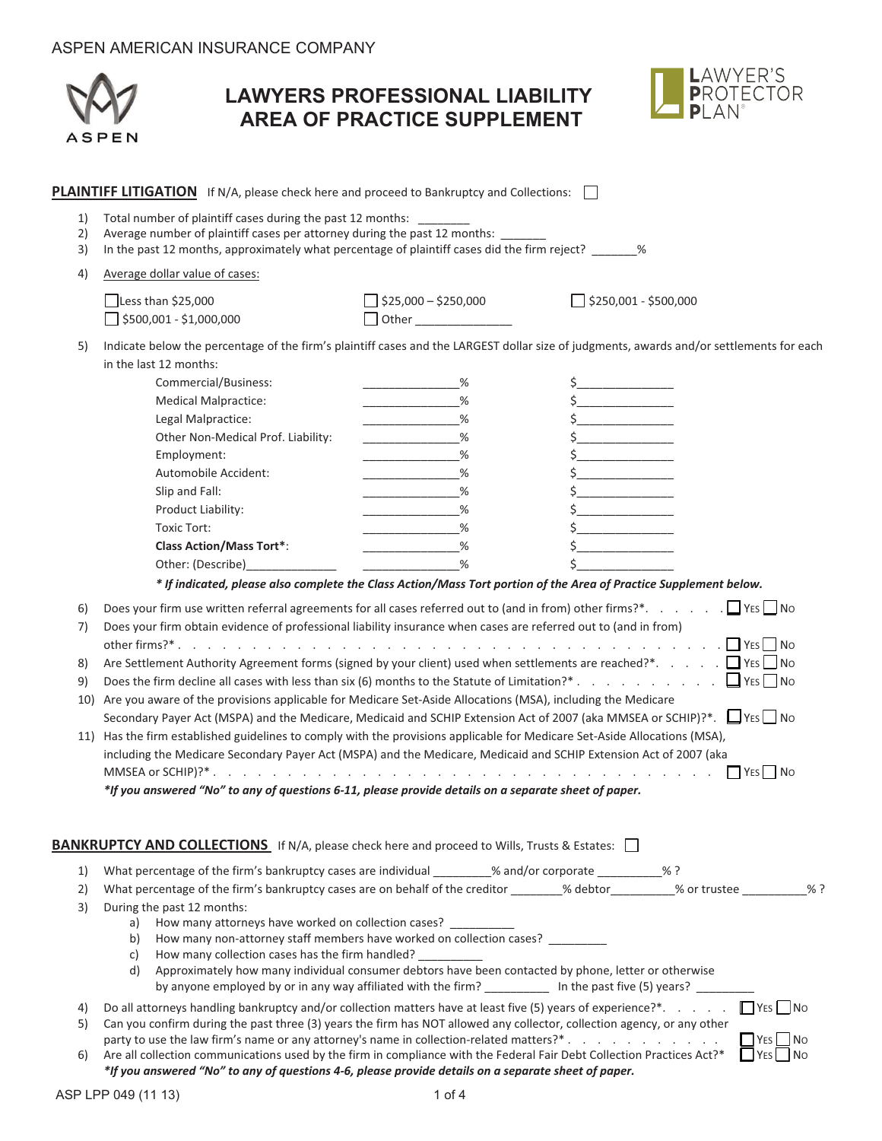|                | <b>ASPEN</b>                                                                                                                                                                                                                                                                                                                                                                                                                                                | <b>LAWYERS PROFESSIONAL LIABILITY</b><br><b>AREA OF PRACTICE SUPPLEMENT</b>                  | AWYER'S∟<br><b>PROTECTOR</b><br>DI AN®                                                                                                                                                                                                                                                                                                                                                                                                                                |
|----------------|-------------------------------------------------------------------------------------------------------------------------------------------------------------------------------------------------------------------------------------------------------------------------------------------------------------------------------------------------------------------------------------------------------------------------------------------------------------|----------------------------------------------------------------------------------------------|-----------------------------------------------------------------------------------------------------------------------------------------------------------------------------------------------------------------------------------------------------------------------------------------------------------------------------------------------------------------------------------------------------------------------------------------------------------------------|
|                | <b>PLAINTIFF LITIGATION</b> If N/A, please check here and proceed to Bankruptcy and Collections: $\Box$                                                                                                                                                                                                                                                                                                                                                     |                                                                                              |                                                                                                                                                                                                                                                                                                                                                                                                                                                                       |
| 1)<br>2)<br>3) | Total number of plaintiff cases during the past 12 months: _______<br>Average number of plaintiff cases per attorney during the past 12 months: _____<br>In the past 12 months, approximately what percentage of plaintiff cases did the firm reject? 46                                                                                                                                                                                                    |                                                                                              |                                                                                                                                                                                                                                                                                                                                                                                                                                                                       |
| 4)             | Average dollar value of cases:                                                                                                                                                                                                                                                                                                                                                                                                                              |                                                                                              |                                                                                                                                                                                                                                                                                                                                                                                                                                                                       |
|                |                                                                                                                                                                                                                                                                                                                                                                                                                                                             | $\Box$ \$25,000 - \$250,000                                                                  | $\Box$ \$250,001 - \$500,000                                                                                                                                                                                                                                                                                                                                                                                                                                          |
|                | $\vert$ Less than \$25,000<br>\$500,001 - \$1,000,000                                                                                                                                                                                                                                                                                                                                                                                                       | Other <b>Community</b>                                                                       |                                                                                                                                                                                                                                                                                                                                                                                                                                                                       |
| 5)<br>6)<br>7) | in the last 12 months:<br>Commercial/Business:<br><b>Medical Malpractice:</b><br>Legal Malpractice:<br>Other Non-Medical Prof. Liability:<br>Employment:<br>Automobile Accident:<br>Slip and Fall:<br>Product Liability:<br><b>Toxic Tort:</b><br><b>Class Action/Mass Tort*:</b><br>Other: (Describe)<br>Does your firm obtain evidence of professional liability insurance when cases are referred out to (and in from)                                   | %<br>%<br>%<br>%<br>%<br><u> 1989 - Johann John Barnson, markin barnson (</u><br>%<br>%<br>% | Indicate below the percentage of the firm's plaintiff cases and the LARGEST dollar size of judgments, awards and/or settlements for each<br>$\zeta$ and $\zeta$<br>$\mathsf{\$}$<br>$\frac{1}{2}$<br>Ś<br>* If indicated, please also complete the Class Action/Mass Tort portion of the Area of Practice Supplement below.<br>Does your firm use written referral agreements for all cases referred out to (and in from) other firms?*. $\Box$ YES $\Box$ No<br>l No |
| 8)             |                                                                                                                                                                                                                                                                                                                                                                                                                                                             |                                                                                              | Are Settlement Authority Agreement forms (signed by your client) used when settlements are reached?*. DYES ONO<br>Does the firm decline all cases with less than six (6) months to the Statute of Limitation?* $\Box$ YES $\Box$ No                                                                                                                                                                                                                                   |
| 9)<br>10)      | Are you aware of the provisions applicable for Medicare Set-Aside Allocations (MSA), including the Medicare                                                                                                                                                                                                                                                                                                                                                 |                                                                                              |                                                                                                                                                                                                                                                                                                                                                                                                                                                                       |
|                | 11) Has the firm established guidelines to comply with the provisions applicable for Medicare Set-Aside Allocations (MSA),<br>including the Medicare Secondary Payer Act (MSPA) and the Medicare, Medicaid and SCHIP Extension Act of 2007 (aka<br>*If you answered "No" to any of questions 6-11, please provide details on a separate sheet of paper.                                                                                                     |                                                                                              | Secondary Payer Act (MSPA) and the Medicare, Medicaid and SCHIP Extension Act of 2007 (aka MMSEA or SCHIP)?*. $\Box$ YES $\Box$ No                                                                                                                                                                                                                                                                                                                                    |
|                | <b>BANKRUPTCY AND COLLECTIONS</b> If N/A, please check here and proceed to Wills, Trusts & Estates: $\Box$                                                                                                                                                                                                                                                                                                                                                  |                                                                                              |                                                                                                                                                                                                                                                                                                                                                                                                                                                                       |
| 1)             | What percentage of the firm's bankruptcy cases are individual ________% and/or corporate _________% ?                                                                                                                                                                                                                                                                                                                                                       |                                                                                              |                                                                                                                                                                                                                                                                                                                                                                                                                                                                       |
| 2)             |                                                                                                                                                                                                                                                                                                                                                                                                                                                             |                                                                                              | What percentage of the firm's bankruptcy cases are on behalf of the creditor _______% debtor________% or trustee _________% ?                                                                                                                                                                                                                                                                                                                                         |
| 3)             | During the past 12 months:<br>How many attorneys have worked on collection cases? ___________<br>a)<br>How many non-attorney staff members have worked on collection cases? _________<br>b)<br>How many collection cases has the firm handled? _<br>C)<br>Approximately how many individual consumer debtors have been contacted by phone, letter or otherwise<br>d)                                                                                        |                                                                                              | by anyone employed by or in any way affiliated with the firm? _____________ In the past five (5) years? ________                                                                                                                                                                                                                                                                                                                                                      |
| 4)<br>5)<br>6) | Do all attorneys handling bankruptcy and/or collection matters have at least five (5) years of experience?*<br>Can you confirm during the past three (3) years the firm has NOT allowed any collector, collection agency, or any other<br>party to use the law firm's name or any attorney's name in collection-related matters?*<br>Are all collection communications used by the firm in compliance with the Federal Fair Debt Collection Practices Act?* |                                                                                              | $\Box$ YES $\Box$ No<br>$\Box$ YES $\Box$ No<br>YES<br>  No                                                                                                                                                                                                                                                                                                                                                                                                           |

\*If you answered "No" to any of questions 4-6, please provide details on a separate sheet of paper.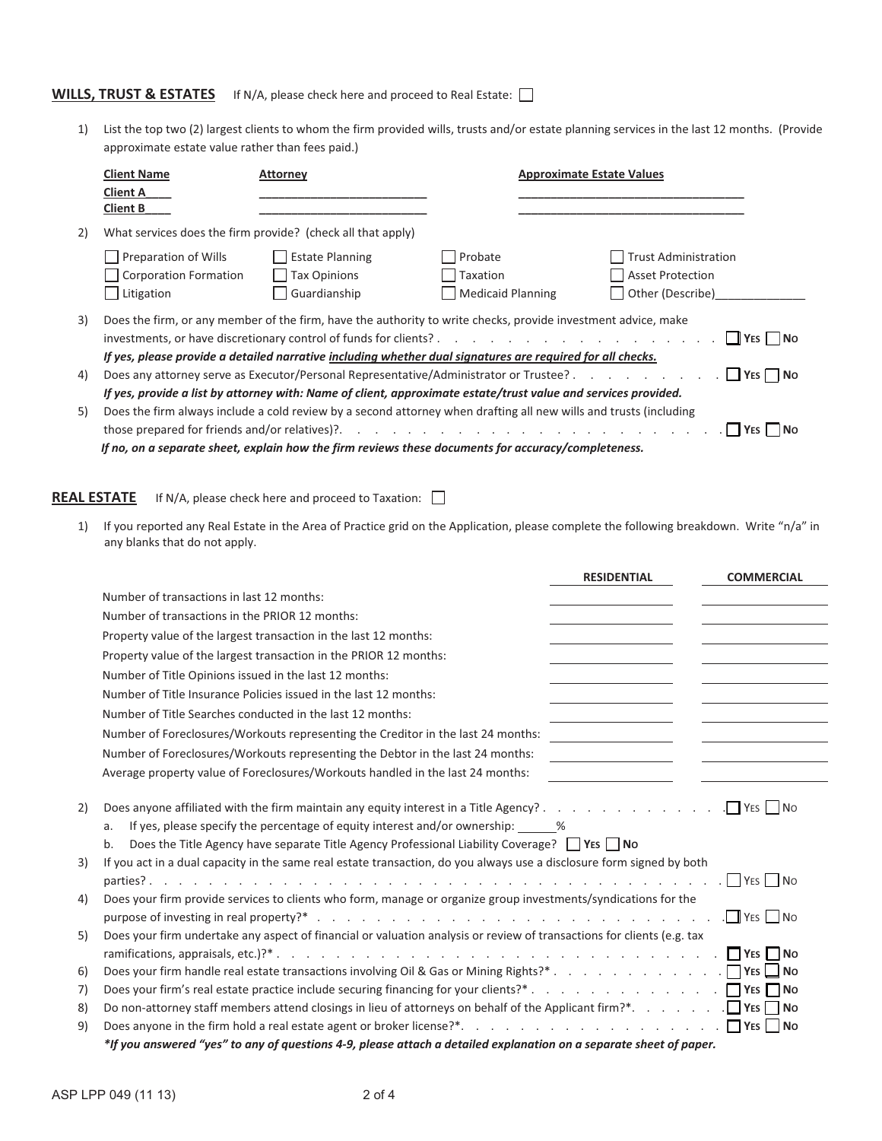## **WILLS, TRUST & ESTATES** If N/A, please check here and proceed to Real Estate:

1) List the top two (2) largest clients to whom the firm provided wills, trusts and/or estate planning services in the last 12 months. (Provide approximate estate value rather than fees paid.)

|    | <b>Client Name</b>                                                                                                                                                                                                                                  | Attorney                                                                                                                                                                                                                 | <b>Approximate Estate Values</b>                |                                                                            |
|----|-----------------------------------------------------------------------------------------------------------------------------------------------------------------------------------------------------------------------------------------------------|--------------------------------------------------------------------------------------------------------------------------------------------------------------------------------------------------------------------------|-------------------------------------------------|----------------------------------------------------------------------------|
|    | <b>Client A</b><br><b>Client B</b>                                                                                                                                                                                                                  |                                                                                                                                                                                                                          |                                                 |                                                                            |
| 2) |                                                                                                                                                                                                                                                     | What services does the firm provide? (check all that apply)                                                                                                                                                              |                                                 |                                                                            |
|    | <b>Preparation of Wills</b><br><b>Corporation Formation</b><br>Litigation                                                                                                                                                                           | <b>Estate Planning</b><br><b>Tax Opinions</b><br>Guardianship                                                                                                                                                            | Probate<br>Taxation<br><b>Medicaid Planning</b> | <b>Trust Administration</b><br><b>Asset Protection</b><br>Other (Describe) |
| 3) | Does the firm, or any member of the firm, have the authority to write checks, provide investment advice, make<br>$\Box$ Yes $\Box$ No<br>If yes, please provide a detailed narrative including whether dual signatures are required for all checks. |                                                                                                                                                                                                                          |                                                 |                                                                            |
| 4) |                                                                                                                                                                                                                                                     | Does any attorney serve as Executor/Personal Representative/Administrator or Trustee?                                                                                                                                    |                                                 | $\Box$ YES $\Box$ No                                                       |
|    |                                                                                                                                                                                                                                                     | If yes, provide a list by attorney with: Name of client, approximate estate/trust value and services provided.                                                                                                           |                                                 |                                                                            |
| 5) |                                                                                                                                                                                                                                                     | Does the firm always include a cold review by a second attorney when drafting all new wills and trusts (including<br>If no, on a separate sheet, explain how the firm reviews these documents for accuracy/completeness. |                                                 |                                                                            |

**REAL ESTATE** If N/A, please check here and proceed to Taxation:  $\Box$ 

1) If you reported any Real Estate in the Area of Practice grid on the Application, please complete the following breakdown. Write "n/a" in any blanks that do not apply.

|    | <b>RESIDENTIAL</b><br><b>COMMERCIAL</b>                                                                                                                                                                |
|----|--------------------------------------------------------------------------------------------------------------------------------------------------------------------------------------------------------|
|    | Number of transactions in last 12 months:                                                                                                                                                              |
|    | Number of transactions in the PRIOR 12 months:                                                                                                                                                         |
|    | Property value of the largest transaction in the last 12 months:                                                                                                                                       |
|    | Property value of the largest transaction in the PRIOR 12 months:                                                                                                                                      |
|    | Number of Title Opinions issued in the last 12 months:                                                                                                                                                 |
|    | Number of Title Insurance Policies issued in the last 12 months:                                                                                                                                       |
|    | Number of Title Searches conducted in the last 12 months:                                                                                                                                              |
|    | Number of Foreclosures/Workouts representing the Creditor in the last 24 months:                                                                                                                       |
|    | Number of Foreclosures/Workouts representing the Debtor in the last 24 months:<br><u> 1990 - Jan Barbara III, politik politik (</u>                                                                    |
|    | Average property value of Foreclosures/Workouts handled in the last 24 months:                                                                                                                         |
| 2) | If yes, please specify the percentage of equity interest and/or ownership: $\frac{1}{2}$ %<br>a.<br>Does the Title Agency have separate Title Agency Professional Liability Coverage? □ YES ■ No<br>b. |
| 3) | If you act in a dual capacity in the same real estate transaction, do you always use a disclosure form signed by both                                                                                  |
| 4) | Does your firm provide services to clients who form, manage or organize group investments/syndications for the                                                                                         |
| 5) | Does your firm undertake any aspect of financial or valuation analysis or review of transactions for clients (e.g. tax                                                                                 |
| 6) |                                                                                                                                                                                                        |
| 7) |                                                                                                                                                                                                        |
| 8) |                                                                                                                                                                                                        |
| 9) |                                                                                                                                                                                                        |
|    | *If you answered "yes" to any of questions 4-9, please attach a detailed explanation on a separate sheet of paper.                                                                                     |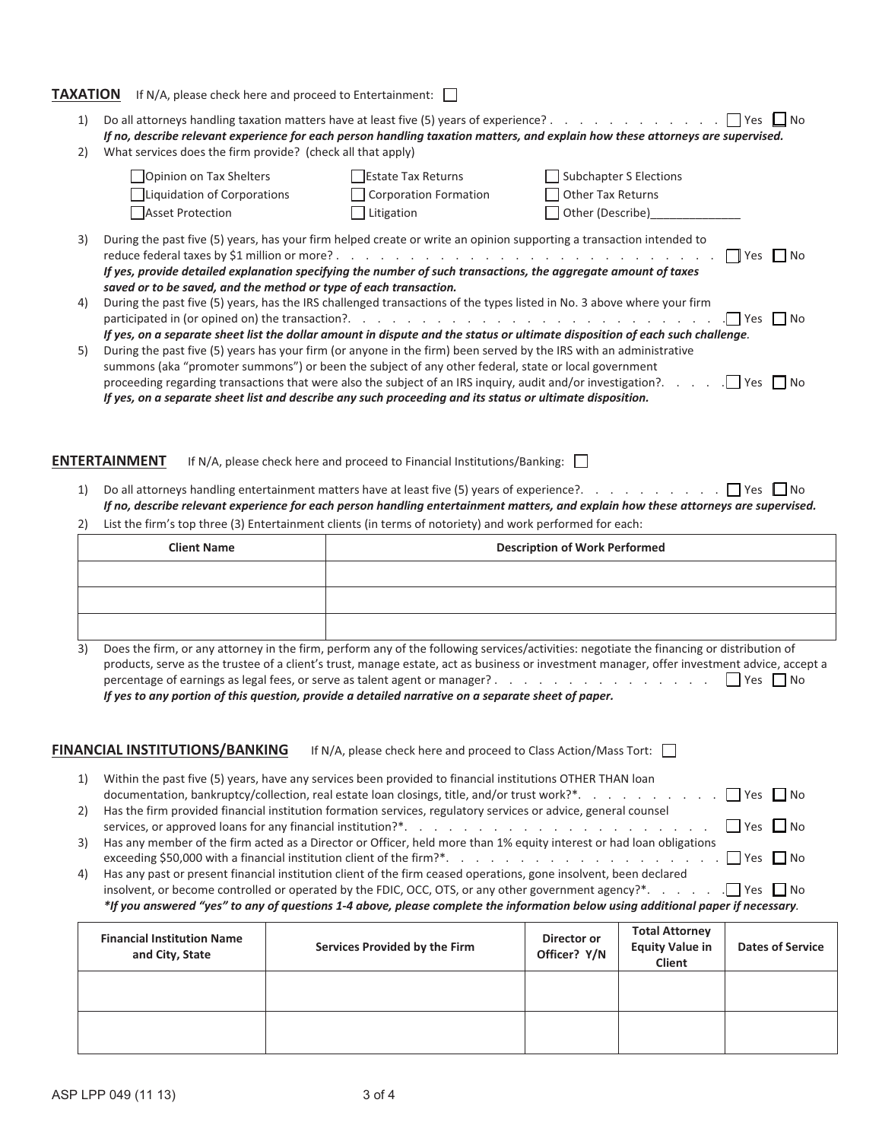| ΤΑΧΑΤΙΟΝ | If N/A, please check here and proceed to Entertainment: $\vert \ \vert$                                                                                                                                                                                                                                                                 |                                                                                        |                                                                                                                                                                                                                                                                                                           |
|----------|-----------------------------------------------------------------------------------------------------------------------------------------------------------------------------------------------------------------------------------------------------------------------------------------------------------------------------------------|----------------------------------------------------------------------------------------|-----------------------------------------------------------------------------------------------------------------------------------------------------------------------------------------------------------------------------------------------------------------------------------------------------------|
| 1)<br>2) | Do all attorneys handling taxation matters have at least five (5) years of experience? $\ldots$ , $\ldots$ , $\ldots$ , $\ldots$<br>What services does the firm provide? (check all that apply)                                                                                                                                         |                                                                                        | $Yes$ $\Box$ No<br>If no, describe relevant experience for each person handling taxation matters, and explain how these attorneys are supervised.                                                                                                                                                         |
|          | <b>Opinion on Tax Shelters</b><br>Liquidation of Corporations<br><b>Asset Protection</b>                                                                                                                                                                                                                                                | Estate Tax Returns<br><b>Corporation Formation</b><br>Litigation                       | Subchapter S Elections<br><b>Other Tax Returns</b><br>Other (Describe)                                                                                                                                                                                                                                    |
| 3)       | During the past five (5) years, has your firm helped create or write an opinion supporting a transaction intended to<br>If yes, provide detailed explanation specifying the number of such transactions, the aggregate amount of taxes<br>saved or to be saved, and the method or type of each transaction.                             |                                                                                        | <b>No</b> Pres II No                                                                                                                                                                                                                                                                                      |
| 4)       | During the past five (5) years, has the IRS challenged transactions of the types listed in No. 3 above where your firm                                                                                                                                                                                                                  |                                                                                        | $ $   Yes     No<br>If yes, on a separate sheet list the dollar amount in dispute and the status or ultimate disposition of each such challenge.                                                                                                                                                          |
| 5)       | During the past five (5) years has your firm (or anyone in the firm) been served by the IRS with an administrative<br>summons (aka "promoter summons") or been the subject of any other federal, state or local government<br>If yes, on a separate sheet list and describe any such proceeding and its status or ultimate disposition. |                                                                                        |                                                                                                                                                                                                                                                                                                           |
| 1)       | <b>ENTERTAINMENT</b>                                                                                                                                                                                                                                                                                                                    | If N/A, please check here and proceed to Financial Institutions/Banking: $\vert \vert$ | Do all attorneys handling entertainment matters have at least five (5) years of experience?. $\Box$ Yes $\Box$ No                                                                                                                                                                                         |
| 2)       | List the firm's top three (3) Entertainment clients (in terms of notoriety) and work performed for each:                                                                                                                                                                                                                                |                                                                                        | If no, describe relevant experience for each person handling entertainment matters, and explain how these attorneys are supervised.                                                                                                                                                                       |
|          | <b>Client Name</b>                                                                                                                                                                                                                                                                                                                      |                                                                                        | <b>Description of Work Performed</b>                                                                                                                                                                                                                                                                      |
|          |                                                                                                                                                                                                                                                                                                                                         |                                                                                        |                                                                                                                                                                                                                                                                                                           |
|          |                                                                                                                                                                                                                                                                                                                                         |                                                                                        |                                                                                                                                                                                                                                                                                                           |
|          |                                                                                                                                                                                                                                                                                                                                         |                                                                                        |                                                                                                                                                                                                                                                                                                           |
| 3)       | percentage of earnings as legal fees, or serve as talent agent or manager?<br>If yes to any portion of this question, provide a detailed narrative on a separate sheet of paper.                                                                                                                                                        |                                                                                        | Does the firm, or any attorney in the firm, perform any of the following services/activities: negotiate the financing or distribution of<br>products, serve as the trustee of a client's trust, manage estate, act as business or investment manager, offer investment advice, accept a<br>    Yes     No |
|          | <b>FINANCIAL INSTITUTIONS/BANKING</b>                                                                                                                                                                                                                                                                                                   | If N/A, please check here and proceed to Class Action/Mass Tort: $\ $                  |                                                                                                                                                                                                                                                                                                           |
| 1)       | Within the past five (5) years, have any services been provided to financial institutions OTHER THAN loan                                                                                                                                                                                                                               |                                                                                        | documentation, bankruptcy/collection, real estate loan closings, title, and/or trust work?*.     Yes     No                                                                                                                                                                                               |
| 2)       | Has the firm provided financial institution formation services, regulatory services or advice, general counsel                                                                                                                                                                                                                          |                                                                                        | $Yes$ $\Box$ No                                                                                                                                                                                                                                                                                           |

3) Has any member of the firm acted as a Director or Officer, held more than 1% equity interest or had loan obligations exceeding \$50,000 with a financial institution client of the firm?\*. . . . . . . . . . . . . . . . . . . Yes No

4) Has any past or present financial institution client of the firm ceased operations, gone insolvent, been declared insolvent, or become controlled or operated by the FDIC, OCC, OTS, or any other government agency?\*. . . . . . .  $\Box$  Yes  $\Box$  No \*If you answered "yes" to any of questions 1-4 above, please complete the information below using additional paper if necessary.

| <b>Financial Institution Name</b><br>and City, State | Services Provided by the Firm | Director or<br>Officer? Y/N | <b>Total Attorney</b><br><b>Equity Value in</b><br>Client | <b>Dates of Service</b> |
|------------------------------------------------------|-------------------------------|-----------------------------|-----------------------------------------------------------|-------------------------|
|                                                      |                               |                             |                                                           |                         |
|                                                      |                               |                             |                                                           |                         |